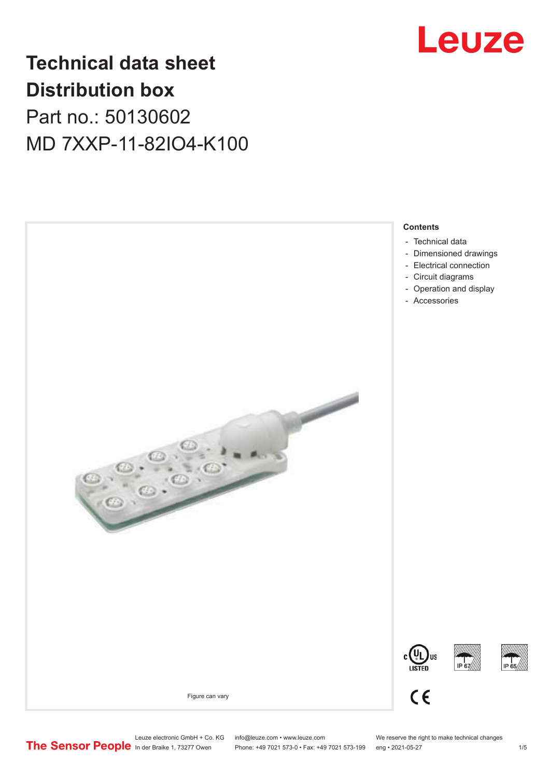

# **Technical data sheet Distribution box**

Part no.: 50130602 MD 7XXP-11-82IO4-K100

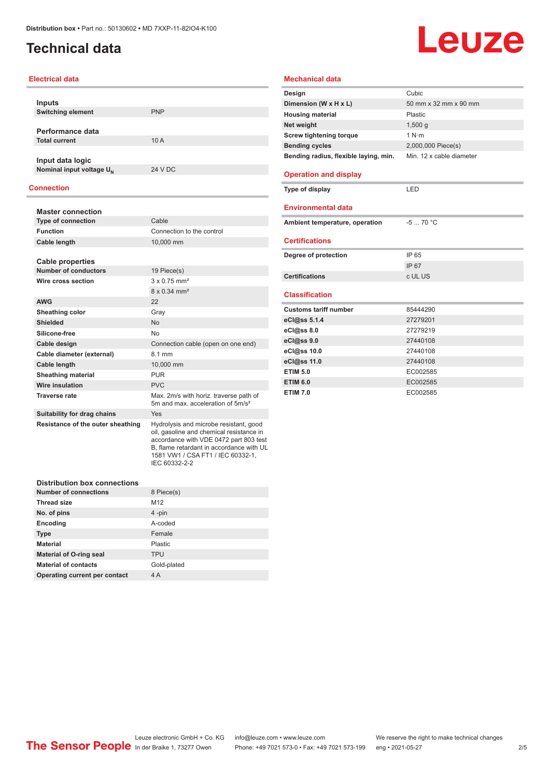### <span id="page-1-0"></span>**Technical data**

# Leuze

#### **Electrical data**

| <b>Inputs</b><br><b>Switching element</b> | <b>PNP</b> |
|-------------------------------------------|------------|
|                                           |            |
| Performance data                          |            |
| <b>Total current</b>                      | 10A        |
|                                           |            |
| Input data logic                          |            |
| Nominal input voltage U <sub>N</sub>      | 24 V DC    |
|                                           |            |

#### **Connection**

| <b>Master connection</b>          |                                                                                                                                                                                                               |  |
|-----------------------------------|---------------------------------------------------------------------------------------------------------------------------------------------------------------------------------------------------------------|--|
| <b>Type of connection</b>         | Cable                                                                                                                                                                                                         |  |
| <b>Function</b>                   | Connection to the control                                                                                                                                                                                     |  |
| Cable length                      | 10,000 mm                                                                                                                                                                                                     |  |
|                                   |                                                                                                                                                                                                               |  |
| Cable properties                  |                                                                                                                                                                                                               |  |
| <b>Number of conductors</b>       | 19 Piece(s)                                                                                                                                                                                                   |  |
| Wire cross section                | $3 \times 0.75$ mm <sup>2</sup>                                                                                                                                                                               |  |
|                                   | 8 x 0.34 mm <sup>2</sup>                                                                                                                                                                                      |  |
| <b>AWG</b>                        | 22                                                                                                                                                                                                            |  |
| <b>Sheathing color</b>            | Gray                                                                                                                                                                                                          |  |
| <b>Shielded</b>                   | <b>No</b>                                                                                                                                                                                                     |  |
| Silicone-free                     | <b>No</b>                                                                                                                                                                                                     |  |
| Cable design                      | Connection cable (open on one end)                                                                                                                                                                            |  |
| Cable diameter (external)         | 8.1 mm                                                                                                                                                                                                        |  |
| <b>Cable length</b>               | 10,000 mm                                                                                                                                                                                                     |  |
| <b>Sheathing material</b>         | <b>PUR</b>                                                                                                                                                                                                    |  |
| Wire insulation                   | <b>PVC</b>                                                                                                                                                                                                    |  |
| <b>Traverse rate</b>              | Max. 2m/s with horiz. traverse path of<br>5m and max, acceleration of 5m/s <sup>2</sup>                                                                                                                       |  |
| Suitability for drag chains       | Yes                                                                                                                                                                                                           |  |
| Resistance of the outer sheathing | Hydrolysis and microbe resistant, good<br>oil, gasoline and chemical resistance in<br>accordance with VDE 0472 part 803 test<br>B, flame retardant in accordance with UL<br>1581 VW1 / CSA FT1 / IEC 60332-1, |  |

| <b>Distribution box connections</b> |                 |  |
|-------------------------------------|-----------------|--|
| Number of connections               | 8 Piece(s)      |  |
| <b>Thread size</b>                  | M <sub>12</sub> |  |
| No. of pins                         | 4-pin           |  |
| Encoding                            | A-coded         |  |
| <b>Type</b>                         | Female          |  |
| <b>Material</b>                     | Plastic         |  |
| <b>Material of O-ring seal</b>      | <b>TPU</b>      |  |
| <b>Material of contacts</b>         | Gold-plated     |  |
| Operating current per contact       | 4 A             |  |

IEC 60332-2-2

| <b>Mechanical data</b>                |                          |
|---------------------------------------|--------------------------|
| Design                                | Cubic                    |
| Dimension (W x H x L)                 | 50 mm x 32 mm x 90 mm    |
| <b>Housing material</b>               | Plastic                  |
| Net weight                            | 1,500q                   |
| <b>Screw tightening torque</b>        | 1 N·m                    |
| <b>Bending cycles</b>                 | 2,000,000 Piece(s)       |
| Bending radius, flexible laying, min. | Min. 12 x cable diameter |
| <b>Operation and display</b>          |                          |
| Type of display                       | LED                      |
| <b>Environmental data</b>             |                          |
| Ambient temperature, operation        | $-570 °C$                |
| <b>Certifications</b>                 |                          |
| Degree of protection                  | IP 65                    |
|                                       | IP 67                    |
| Certifications                        | c UL US                  |
| <b>Classification</b>                 |                          |
| <b>Customs tariff number</b>          | 85444290                 |
| eCl@ss 5.1.4                          | 27279201                 |
| eCl@ss 8.0                            | 27279219                 |
| eCl@ss 9.0                            | 27440108                 |
| eCl@ss 10.0                           | 27440108                 |
| eCl@ss 11.0                           | 27440108                 |
| <b>ETIM 5.0</b>                       | EC002585                 |
| <b>ETIM 6.0</b>                       | EC002585                 |

**ETIM 7.0** EC002585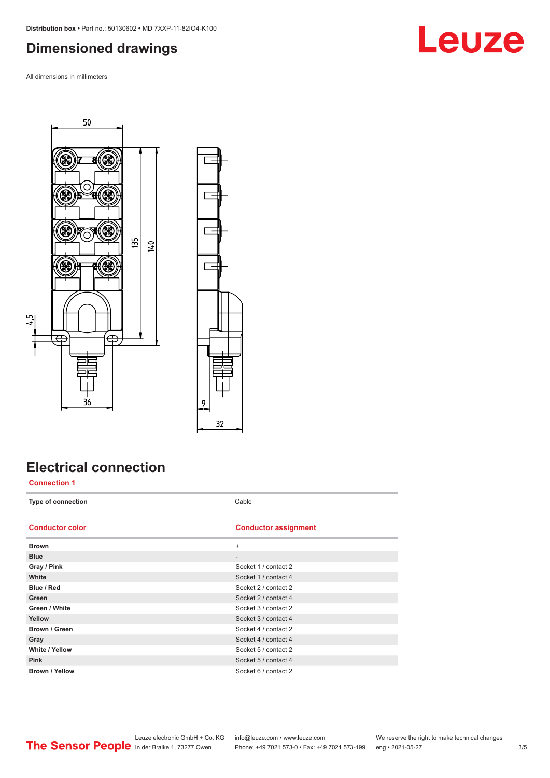### <span id="page-2-0"></span>**Dimensioned drawings**

All dimensions in millimeters





## **Electrical connection**

**Connection 1**

**Type of connection** Cable

#### **Conductor color Conductor assignment**

| <b>Brown</b>          | $+$                      |
|-----------------------|--------------------------|
| <b>Blue</b>           | $\overline{\phantom{a}}$ |
| Gray / Pink           | Socket 1 / contact 2     |
| White                 | Socket 1 / contact 4     |
| Blue / Red            | Socket 2 / contact 2     |
| Green                 | Socket 2 / contact 4     |
| Green / White         | Socket 3 / contact 2     |
| Yellow                | Socket 3 / contact 4     |
| Brown / Green         | Socket 4 / contact 2     |
| Gray                  | Socket 4 / contact 4     |
| <b>White / Yellow</b> | Socket 5 / contact 2     |
| <b>Pink</b>           | Socket 5 / contact 4     |
| <b>Brown / Yellow</b> | Socket 6 / contact 2     |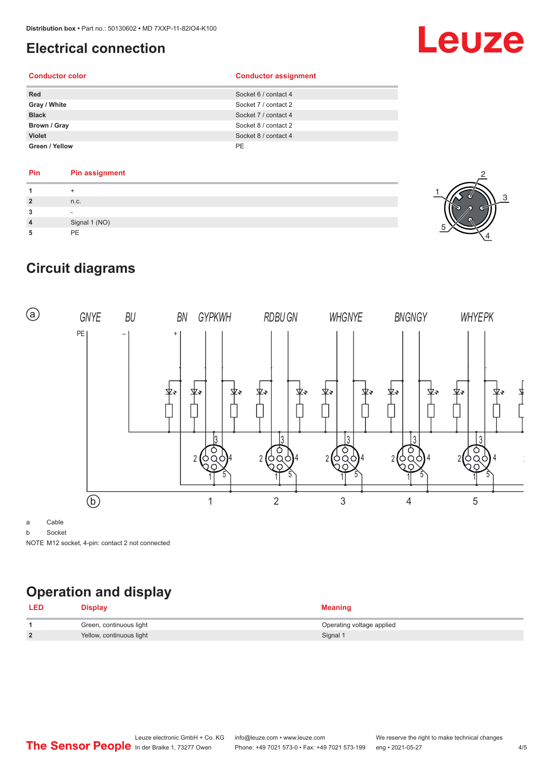### <span id="page-3-0"></span>**Electrical connection**

# Leuze

#### **Conductor color Conductor assignment**

| <b>Red</b>     | Socket 6 / contact 4 |
|----------------|----------------------|
| Gray / White   | Socket 7 / contact 2 |
| <b>Black</b>   | Socket 7 / contact 4 |
| Brown / Gray   | Socket 8 / contact 2 |
| <b>Violet</b>  | Socket 8 / contact 4 |
| Green / Yellow | PE                   |

#### **Pin Pin assignment**

| $\overline{2}$ | n.c.          |  |
|----------------|---------------|--|
|                |               |  |
| $\overline{a}$ | Signal 1 (NO) |  |
|                | <b>PF</b>     |  |



## **Circuit diagrams**



a Cable

b Socket

NOTE M12 socket, 4-pin: contact 2 not connected

# **Operation and display**

| <b>LED</b>     | <b>Display</b>           | <b>Meaning</b>            |
|----------------|--------------------------|---------------------------|
|                | Green, continuous light  | Operating voltage applied |
| $\overline{2}$ | Yellow, continuous light | Signal 1                  |